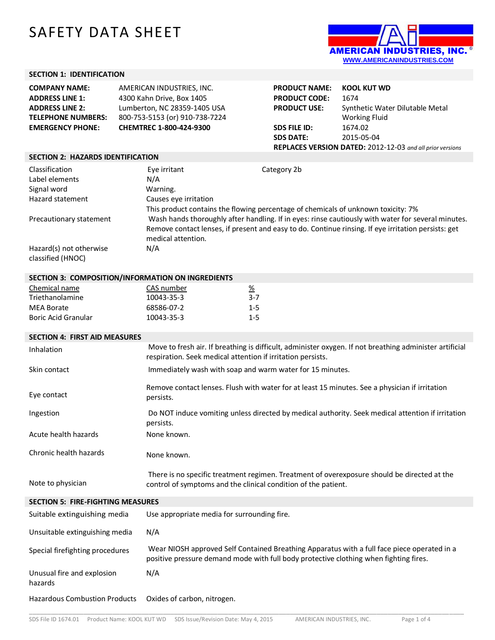# SAFETY DATA SHEET



### **SECTION 1: IDENTIFICATION**

| <b>COMPANY NAME:</b>      | AMERICAN INDUSTRIES, INC.      |
|---------------------------|--------------------------------|
| <b>ADDRESS LINE 1:</b>    | 4300 Kahn Drive, Box 1405      |
| <b>ADDRESS LINE 2:</b>    | Lumberton, NC 28359-1405 USA   |
| <b>TELEPHONE NUMBERS:</b> | 800-753-5153 (or) 910-738-7224 |
| <b>EMERGENCY PHONE:</b>   | CHEMTREC 1-800-424-9300        |

| <b>PRODUCT NAME:</b>                                      | <b>KOOL KUT WD</b>              |
|-----------------------------------------------------------|---------------------------------|
| <b>PRODUCT CODE:</b>                                      | 1674                            |
| <b>PRODUCT USE:</b>                                       | Synthetic Water Dilutable Metal |
|                                                           | <b>Working Fluid</b>            |
| <b>SDS FILE ID:</b>                                       | 1674.02                         |
| <b>SDS DATE:</b>                                          | 2015-05-04                      |
| REPLACES VERSION DATED: 2012-12-03 and all prior versions |                                 |

#### **SECTION 2: HAZARDS IDENTIFICATION**

| Classification          | Eye irritant          | Category 2b                                                                                         |
|-------------------------|-----------------------|-----------------------------------------------------------------------------------------------------|
| Label elements          | N/A                   |                                                                                                     |
| Signal word             | Warning.              |                                                                                                     |
| Hazard statement        | Causes eye irritation |                                                                                                     |
|                         |                       | This product contains the flowing percentage of chemicals of unknown toxicity: 7%                   |
| Precautionary statement |                       | Wash hands thoroughly after handling. If in eyes: rinse cautiously with water for several minutes.  |
|                         |                       | Remove contact lenses, if present and easy to do. Continue rinsing. If eye irritation persists: get |
|                         | medical attention.    |                                                                                                     |
| Hazard(s) not otherwise | N/A                   |                                                                                                     |
| classified (HNOC)       |                       |                                                                                                     |
|                         |                       |                                                                                                     |

#### **SECTION 3: COMPOSITION/INFORMATION ON INGREDIENTS**

| Chemical name       | CAS number | <u>%</u> |
|---------------------|------------|----------|
| Triethanolamine     | 10043-35-3 | 3-7      |
| MEA Borate          | 68586-07-2 | $1 - 5$  |
| Boric Acid Granular | 10043-35-3 | $1 - 5$  |

| <b>SECTION 4: FIRST AID MEASURES</b>     |                                                                                                                                                                                      |
|------------------------------------------|--------------------------------------------------------------------------------------------------------------------------------------------------------------------------------------|
| Inhalation                               | Move to fresh air. If breathing is difficult, administer oxygen. If not breathing administer artificial<br>respiration. Seek medical attention if irritation persists.               |
| Skin contact                             | Immediately wash with soap and warm water for 15 minutes.                                                                                                                            |
| Eye contact                              | Remove contact lenses. Flush with water for at least 15 minutes. See a physician if irritation<br>persists.                                                                          |
| Ingestion                                | Do NOT induce vomiting unless directed by medical authority. Seek medical attention if irritation<br>persists.                                                                       |
| Acute health hazards                     | None known.                                                                                                                                                                          |
| Chronic health hazards                   | None known.                                                                                                                                                                          |
| Note to physician                        | There is no specific treatment regimen. Treatment of overexposure should be directed at the<br>control of symptoms and the clinical condition of the patient.                        |
| <b>SECTION 5: FIRE-FIGHTING MEASURES</b> |                                                                                                                                                                                      |
| Suitable extinguishing media             | Use appropriate media for surrounding fire.                                                                                                                                          |
| Unsuitable extinguishing media           | N/A                                                                                                                                                                                  |
| Special firefighting procedures          | Wear NIOSH approved Self Contained Breathing Apparatus with a full face piece operated in a<br>positive pressure demand mode with full body protective clothing when fighting fires. |
| Unusual fire and explosion<br>hazards    | N/A                                                                                                                                                                                  |
| <b>Hazardous Combustion Products</b>     | Oxides of carbon, nitrogen.                                                                                                                                                          |

\_\_\_\_\_\_\_\_\_\_\_\_\_\_\_\_\_\_\_\_\_\_\_\_\_\_\_\_\_\_\_\_\_\_\_\_\_\_\_\_\_\_\_\_\_\_\_\_\_\_\_\_\_\_\_\_\_\_\_\_\_\_\_\_\_\_\_\_\_\_\_\_\_\_\_\_\_\_\_\_\_\_\_\_\_\_\_\_\_\_\_\_\_\_\_\_\_\_\_\_\_\_\_\_\_\_\_\_\_\_\_\_\_\_\_\_\_\_\_\_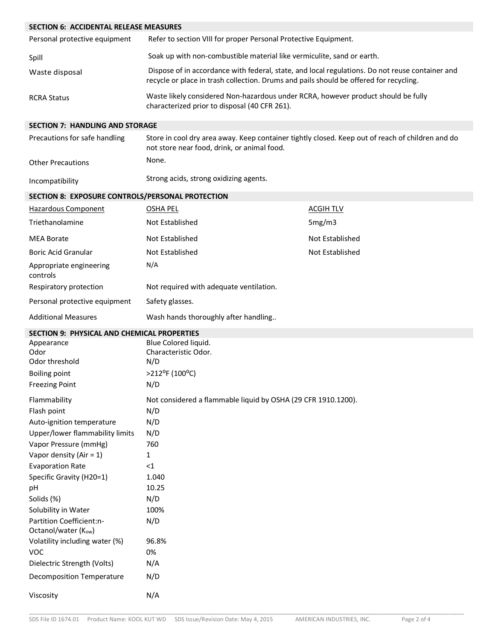| <b>SECTION 6: ACCIDENTAL RELEASE MEASURES</b>                                                                                                                                                                                                                                                                                                           |                                                                                                                                                                                           |                  |
|---------------------------------------------------------------------------------------------------------------------------------------------------------------------------------------------------------------------------------------------------------------------------------------------------------------------------------------------------------|-------------------------------------------------------------------------------------------------------------------------------------------------------------------------------------------|------------------|
| Personal protective equipment                                                                                                                                                                                                                                                                                                                           | Refer to section VIII for proper Personal Protective Equipment.                                                                                                                           |                  |
| Spill                                                                                                                                                                                                                                                                                                                                                   | Soak up with non-combustible material like vermiculite, sand or earth.                                                                                                                    |                  |
| Waste disposal                                                                                                                                                                                                                                                                                                                                          | Dispose of in accordance with federal, state, and local regulations. Do not reuse container and<br>recycle or place in trash collection. Drums and pails should be offered for recycling. |                  |
| <b>RCRA Status</b>                                                                                                                                                                                                                                                                                                                                      | Waste likely considered Non-hazardous under RCRA, however product should be fully<br>characterized prior to disposal (40 CFR 261).                                                        |                  |
| <b>SECTION 7: HANDLING AND STORAGE</b>                                                                                                                                                                                                                                                                                                                  |                                                                                                                                                                                           |                  |
| Precautions for safe handling                                                                                                                                                                                                                                                                                                                           | Store in cool dry area away. Keep container tightly closed. Keep out of reach of children and do<br>not store near food, drink, or animal food.                                           |                  |
| <b>Other Precautions</b>                                                                                                                                                                                                                                                                                                                                | None.                                                                                                                                                                                     |                  |
| Incompatibility                                                                                                                                                                                                                                                                                                                                         | Strong acids, strong oxidizing agents.                                                                                                                                                    |                  |
| SECTION 8: EXPOSURE CONTROLS/PERSONAL PROTECTION                                                                                                                                                                                                                                                                                                        |                                                                                                                                                                                           |                  |
| Hazardous Component                                                                                                                                                                                                                                                                                                                                     | <b>OSHA PEL</b>                                                                                                                                                                           | <b>ACGIH TLV</b> |
| Triethanolamine                                                                                                                                                                                                                                                                                                                                         | Not Established                                                                                                                                                                           | 5mg/m3           |
| <b>MEA Borate</b>                                                                                                                                                                                                                                                                                                                                       | Not Established                                                                                                                                                                           | Not Established  |
| <b>Boric Acid Granular</b>                                                                                                                                                                                                                                                                                                                              | Not Established                                                                                                                                                                           | Not Established  |
| Appropriate engineering<br>controls                                                                                                                                                                                                                                                                                                                     | N/A                                                                                                                                                                                       |                  |
| Respiratory protection                                                                                                                                                                                                                                                                                                                                  | Not required with adequate ventilation.                                                                                                                                                   |                  |
| Personal protective equipment                                                                                                                                                                                                                                                                                                                           | Safety glasses.                                                                                                                                                                           |                  |
| <b>Additional Measures</b>                                                                                                                                                                                                                                                                                                                              | Wash hands thoroughly after handling                                                                                                                                                      |                  |
| <b>SECTION 9: PHYSICAL AND CHEMICAL PROPERTIES</b>                                                                                                                                                                                                                                                                                                      |                                                                                                                                                                                           |                  |
| Appearance<br>Odor<br>Odor threshold<br><b>Boiling point</b><br><b>Freezing Point</b>                                                                                                                                                                                                                                                                   | Blue Colored liquid.<br>Characteristic Odor.<br>N/D<br>>212°F (100°C)<br>N/D                                                                                                              |                  |
| Flammability                                                                                                                                                                                                                                                                                                                                            | Not considered a flammable liquid by OSHA (29 CFR 1910.1200).                                                                                                                             |                  |
| Auto-ignition temperature<br>Upper/lower flammability limits<br>Vapor Pressure (mmHg)<br>Vapor density (Air = $1$ )<br><b>Evaporation Rate</b><br>Specific Gravity (H20=1)<br>pH<br>Solids (%)<br>Solubility in Water<br>Partition Coefficient:n-<br>Octanol/water (Kow)<br>Volatility including water (%)<br><b>VOC</b><br>Dielectric Strength (Volts) | N/D<br>N/D<br>760<br>1<br><1<br>1.040<br>10.25<br>N/D<br>100%<br>N/D<br>96.8%<br>0%<br>N/A                                                                                                |                  |
| <b>Decomposition Temperature</b>                                                                                                                                                                                                                                                                                                                        | N/D                                                                                                                                                                                       |                  |
| Viscosity                                                                                                                                                                                                                                                                                                                                               | N/A                                                                                                                                                                                       |                  |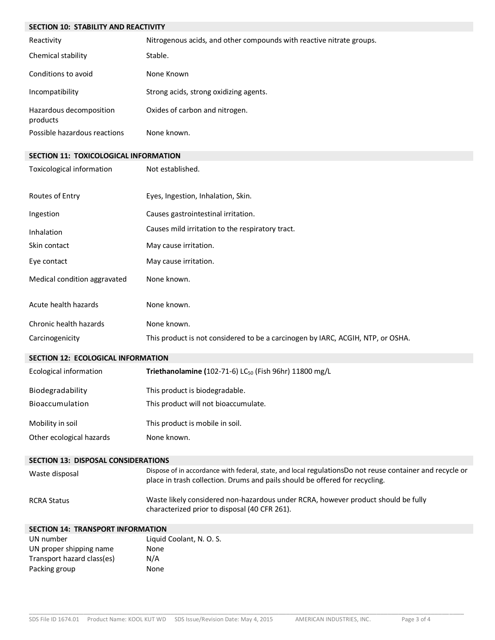| SECTION 10: STABILITY AND REACTIVITY        |                                                                                                                                                                                         |  |
|---------------------------------------------|-----------------------------------------------------------------------------------------------------------------------------------------------------------------------------------------|--|
| Reactivity                                  | Nitrogenous acids, and other compounds with reactive nitrate groups.                                                                                                                    |  |
| Chemical stability                          | Stable.                                                                                                                                                                                 |  |
| Conditions to avoid                         | None Known                                                                                                                                                                              |  |
| Incompatibility                             | Strong acids, strong oxidizing agents.                                                                                                                                                  |  |
| Hazardous decomposition<br>products         | Oxides of carbon and nitrogen.                                                                                                                                                          |  |
| Possible hazardous reactions                | None known.                                                                                                                                                                             |  |
| SECTION 11: TOXICOLOGICAL INFORMATION       |                                                                                                                                                                                         |  |
| Toxicological information                   | Not established.                                                                                                                                                                        |  |
| Routes of Entry                             | Eyes, Ingestion, Inhalation, Skin.                                                                                                                                                      |  |
| Ingestion                                   | Causes gastrointestinal irritation.                                                                                                                                                     |  |
| Inhalation                                  | Causes mild irritation to the respiratory tract.                                                                                                                                        |  |
| Skin contact                                | May cause irritation.                                                                                                                                                                   |  |
| Eye contact                                 | May cause irritation.                                                                                                                                                                   |  |
| Medical condition aggravated                | None known.                                                                                                                                                                             |  |
| Acute health hazards                        | None known.                                                                                                                                                                             |  |
| Chronic health hazards                      | None known.                                                                                                                                                                             |  |
| Carcinogenicity                             | This product is not considered to be a carcinogen by IARC, ACGIH, NTP, or OSHA.                                                                                                         |  |
| <b>SECTION 12: ECOLOGICAL INFORMATION</b>   |                                                                                                                                                                                         |  |
| <b>Ecological information</b>               | Triethanolamine (102-71-6) LC <sub>50</sub> (Fish 96hr) 11800 mg/L                                                                                                                      |  |
| Biodegradability                            | This product is biodegradable.                                                                                                                                                          |  |
|                                             |                                                                                                                                                                                         |  |
| Bioaccumulation                             | This product will not bioaccumulate.                                                                                                                                                    |  |
| Mobility in soil                            | This product is mobile in soil.                                                                                                                                                         |  |
| Other ecological hazards                    | None known.                                                                                                                                                                             |  |
| <b>SECTION 13: DISPOSAL CONSIDERATIONS</b>  |                                                                                                                                                                                         |  |
| Waste disposal                              | Dispose of in accordance with federal, state, and local regulationsDo not reuse container and recycle or<br>place in trash collection. Drums and pails should be offered for recycling. |  |
| <b>RCRA Status</b>                          | Waste likely considered non-hazardous under RCRA, however product should be fully<br>characterized prior to disposal (40 CFR 261).                                                      |  |
| <b>SECTION 14: TRANSPORT INFORMATION</b>    |                                                                                                                                                                                         |  |
| UN number                                   | Liquid Coolant, N. O. S.                                                                                                                                                                |  |
| UN proper shipping name                     | None                                                                                                                                                                                    |  |
| Transport hazard class(es)<br>Packing group | N/A<br>None                                                                                                                                                                             |  |